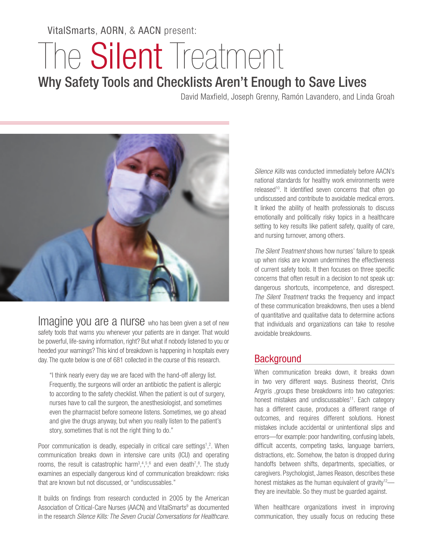VitalSmarts, AORN, & AACN present:

# The **Silent** Treatment

# Why Safety Tools and Checklists Aren't Enough to Save Lives

David Maxfield, Joseph Grenny, Ramón Lavandero, and Linda Groah



Imagine you are a nurse who has been given a set of new safety tools that warns you whenever your patients are in danger. That would be powerful, life-saving information, right? But what if nobody listened to you or heeded your warnings? This kind of breakdown is happening in hospitals every day. The quote below is one of 681 collected in the course of this research.

"I think nearly every day we are faced with the hand-off allergy list. Frequently, the surgeons will order an antibiotic the patient is allergic to according to the safety checklist. When the patient is out of surgery, nurses have to call the surgeon, the anesthesiologist, and sometimes even the pharmacist before someone listens. Sometimes, we go ahead and give the drugs anyway, but when you really listen to the patient's story, sometimes that is not the right thing to do."

Poor communication is deadly, especially in critical care settings<sup>1</sup>,<sup>2</sup>. When communication breaks down in intensive care units (ICU) and operating rooms, the result is catastrophic harm<sup>3</sup>,<sup>4,5,6</sup> and even death<sup>7</sup>,<sup>8</sup>. The study examines an especially dangerous kind of communication breakdown: risks that are known but not discussed, or "undiscussables."

It builds on findings from research conducted in 2005 by the American Association of Critical-Care Nurses (AACN) and VitalSmarts<sup>9</sup> as documented in the research *Silence Kills: The Seven Crucial Conversations for Healthcare*.

*Silence Kills* was conducted immediately before AACN's national standards for healthy work environments were released<sup>10</sup>. It identified seven concerns that often go undiscussed and contribute to avoidable medical errors. It linked the ability of health professionals to discuss emotionally and politically risky topics in a healthcare setting to key results like patient safety, quality of care, and nursing turnover, among others.

*The Silent Treatment* shows how nurses' failure to speak up when risks are known undermines the effectiveness of current safety tools. It then focuses on three specific concerns that often result in a decision to not speak up: dangerous shortcuts, incompetence, and disrespect. *The Silent Treatment* tracks the frequency and impact of these communication breakdowns, then uses a blend of quantitative and qualitative data to determine actions that individuals and organizations can take to resolve avoidable breakdowns.

### **Background**

When communication breaks down, it breaks down in two very different ways. Business theorist, Chris Argyris ,groups these breakdowns into two categories: honest mistakes and undiscussables<sup>11</sup>. Each category has a different cause, produces a different range of outcomes, and requires different solutions. Honest mistakes include accidental or unintentional slips and errors—for example: poor handwriting, confusing labels, difficult accents, competing tasks, language barriers, distractions, etc. Somehow, the baton is dropped during handoffs between shifts, departments, specialties, or caregivers. Psychologist, James Reason, describes these honest mistakes as the human equivalent of gravity<sup>12</sup> they are inevitable. So they must be guarded against.

When healthcare organizations invest in improving communication, they usually focus on reducing these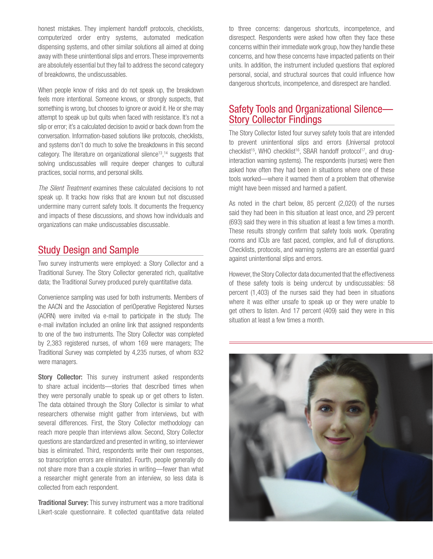honest mistakes. They implement handoff protocols, checklists, computerized order entry systems, automated medication dispensing systems, and other similar solutions all aimed at doing away with these unintentional slips and errors. These improvements are absolutely essential but they fail to address the second category of breakdowns, the undiscussables.

When people know of risks and do not speak up, the breakdown feels more intentional. Someone knows, or strongly suspects, that something is wrong, but chooses to ignore or avoid it. He or she may attempt to speak up but quits when faced with resistance. It's not a slip or error; it's a calculated decision to avoid or back down from the conversation. Information-based solutions like protocols, checklists, and systems don't do much to solve the breakdowns in this second category. The literature on organizational silence<sup>13</sup>,<sup>14</sup> suggests that solving undiscussables will require deeper changes to cultural practices, social norms, and personal skills.

*The Silent Treatment* examines these calculated decisions to not speak up. It tracks how risks that are known but not discussed undermine many current safety tools. It documents the frequency and impacts of these discussions, and shows how individuals and organizations can make undiscussables discussable.

### Study Design and Sample

Two survey instruments were employed: a Story Collector and a Traditional Survey. The Story Collector generated rich, qualitative data; the Traditional Survey produced purely quantitative data.

Convenience sampling was used for both instruments. Members of the AACN and the Association of periOperative Registered Nurses (AORN) were invited via e-mail to participate in the study. The e-mail invitation included an online link that assigned respondents to one of the two instruments. The Story Collector was completed by 2,383 registered nurses, of whom 169 were managers; The Traditional Survey was completed by 4,235 nurses, of whom 832 were managers.

Story Collector: This survey instrument asked respondents to share actual incidents—stories that described times when they were personally unable to speak up or get others to listen. The data obtained through the Story Collector is similar to what researchers otherwise might gather from interviews, but with several differences. First, the Story Collector methodology can reach more people than interviews allow. Second, Story Collector questions are standardized and presented in writing, so interviewer bias is eliminated. Third, respondents write their own responses, so transcription errors are eliminated. Fourth, people generally do not share more than a couple stories in writing—fewer than what a researcher might generate from an interview, so less data is collected from each respondent.

**Traditional Survey:** This survey instrument was a more traditional Likert-scale questionnaire. It collected quantitative data related to three concerns: dangerous shortcuts, incompetence, and disrespect. Respondents were asked how often they face these concerns within their immediate work group, how they handle these concerns, and how these concerns have impacted patients on their units. In addition, the instrument included questions that explored personal, social, and structural sources that could influence how dangerous shortcuts, incompetence, and disrespect are handled.

### Safety Tools and Organizational Silence— Story Collector Findings

The Story Collector listed four survey safety tools that are intended to prevent unintentional slips and errors (Universal protocol checklist<sup>15</sup>, WHO checklist<sup>16</sup>, SBAR handoff protocol<sup>17</sup>, and druginteraction warning systems). The respondents (nurses) were then asked how often they had been in situations where one of these tools worked—where it warned them of a problem that otherwise might have been missed and harmed a patient.

As noted in the chart below, 85 percent (2,020) of the nurses said they had been in this situation at least once, and 29 percent (693) said they were in this situation at least a few times a month. These results strongly confirm that safety tools work. Operating rooms and ICUs are fast paced, complex, and full of disruptions. Checklists, protocols, and warning systems are an essential guard against unintentional slips and errors.

However, the Story Collector data documented that the effectiveness of these safety tools is being undercut by undiscussables: 58 percent (1,403) of the nurses said they had been in situations where it was either unsafe to speak up or they were unable to get others to listen. And 17 percent (409) said they were in this situation at least a few times a month.

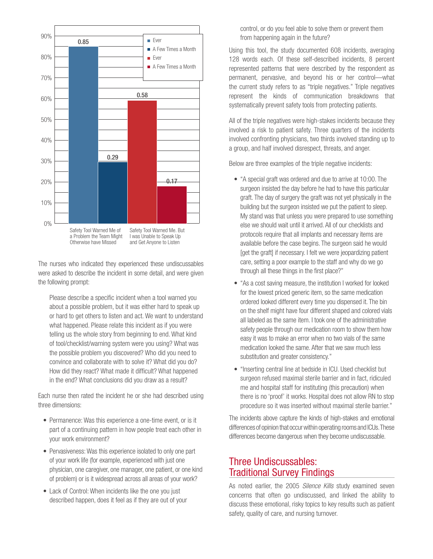

The nurses who indicated they experienced these undiscussables were asked to describe the incident in some detail, and were given the following prompt:

Please describe a specific incident when a tool warned you about a possible problem, but it was either hard to speak up or hard to get others to listen and act. We want to understand what happened. Please relate this incident as if you were telling us the whole story from beginning to end. What kind of tool/checklist/warning system were you using? What was the possible problem you discovered? Who did you need to convince and collaborate with to solve it? What did you do? How did they react? What made it difficult? What happened in the end? What conclusions did you draw as a result?

Each nurse then rated the incident he or she had described using three dimensions:

- Permanence: Was this experience a one-time event, or is it part of a continuing pattern in how people treat each other in your work environment?
- Pervasiveness: Was this experience isolated to only one part of your work life (for example, experienced with just one physician, one caregiver, one manager, one patient, or one kind of problem) or is it widespread across all areas of your work?
- Lack of Control: When incidents like the one you just described happen, does it feel as if they are out of your

control, or do you feel able to solve them or prevent them from happening again in the future?

Using this tool, the study documented 608 incidents, averaging 128 words each. Of these self-described incidents, 8 percent represented patterns that were described by the respondent as permanent, pervasive, and beyond his or her control—what the current study refers to as "triple negatives." Triple negatives represent the kinds of communication breakdowns that systematically prevent safety tools from protecting patients.

All of the triple negatives were high-stakes incidents because they involved a risk to patient safety. Three quarters of the incidents involved confronting physicians, two thirds involved standing up to a group, and half involved disrespect, threats, and anger.

Below are three examples of the triple negative incidents:

- "A special graft was ordered and due to arrive at 10:00. The surgeon insisted the day before he had to have this particular graft. The day of surgery the graft was not yet physically in the building but the surgeon insisted we put the patient to sleep. My stand was that unless you were prepared to use something else we should wait until it arrived. All of our checklists and protocols require that all implants and necessary items are available before the case begins. The surgeon said he would [get the graft] if necessary. I felt we were jeopardizing patient care, setting a poor example to the staff and why do we go through all these things in the first place?"
- "As a cost saving measure, the institution I worked for looked for the lowest priced generic item, so the same medication ordered looked different every time you dispensed it. The bin on the shelf might have four different shaped and colored vials all labeled as the same item. I took one of the administrative safety people through our medication room to show them how easy it was to make an error when no two vials of the same medication looked the same. After that we saw much less substitution and greater consistency."
- "Inserting central line at bedside in ICU. Used checklist but surgeon refused maximal sterile barrier and in fact, ridiculed me and hospital staff for instituting (this precaution) when there is no 'proof' it works. Hospital does not allow RN to stop procedure so it was inserted without maximal sterile barrier."

The incidents above capture the kinds of high-stakes and emotional differences of opinion that occur within operating rooms and ICUs. These differences become dangerous when they become undiscussable.

### Three Undiscussables: Traditional Survey Findings

As noted earlier, the 2005 *Silence Kills* study examined seven concerns that often go undiscussed, and linked the ability to discuss these emotional, risky topics to key results such as patient safety, quality of care, and nursing turnover.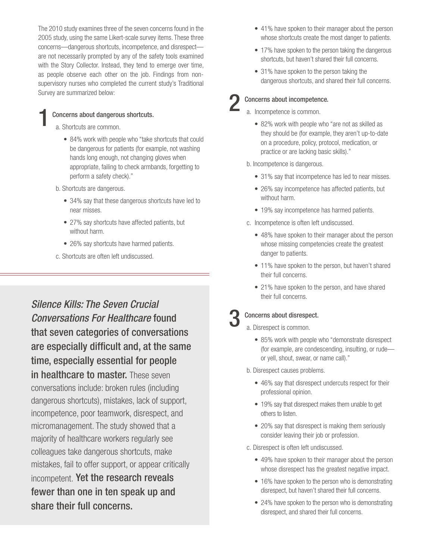The 2010 study examines three of the seven concerns found in the 2005 study, using the same Likert-scale survey items. These three concerns—dangerous shortcuts, incompetence, and disrespect are not necessarily prompted by any of the safety tools examined with the Story Collector. Instead, they tend to emerge over time, as people observe each other on the job. Findings from nonsupervisory nurses who completed the current study's Traditional Survey are summarized below:

### Concerns about dangerous shortcuts.

- a. Shortcuts are common.
	- 84% work with people who "take shortcuts that could be dangerous for patients (for example, not washing hands long enough, not changing gloves when appropriate, failing to check armbands, forgetting to perform a safety check)."
- b. Shortcuts are dangerous.
	- 34% say that these dangerous shortcuts have led to near misses.
	- 27% say shortcuts have affected patients, but without harm.
	- 26% say shortcuts have harmed patients.
- c. Shortcuts are often left undiscussed.

*Silence Kills: The Seven Crucial Conversations For Healthcare* found that seven categories of conversations are especially difficult and, at the same time, especially essential for people in healthcare to master. These seven conversations include: broken rules (including dangerous shortcuts), mistakes, lack of support, incompetence, poor teamwork, disrespect, and micromanagement. The study showed that a majority of healthcare workers regularly see colleagues take dangerous shortcuts, make mistakes, fail to offer support, or appear critically incompetent. Yet the research reveals fewer than one in ten speak up and share their full concerns.

- 41% have spoken to their manager about the person whose shortcuts create the most danger to patients.
- 17% have spoken to the person taking the dangerous shortcuts, but haven't shared their full concerns.
- 31% have spoken to the person taking the dangerous shortcuts, and shared their full concerns.

### Concerns about incompetence.

- a. Incompetence is common.
	- 82% work with people who "are not as skilled as they should be (for example, they aren't up-to-date on a procedure, policy, protocol, medication, or practice or are lacking basic skills)."
- b. Incompetence is dangerous.
	- 31% say that incompetence has led to near misses.
	- 26% say incompetence has affected patients, but without harm.
	- 19% say incompetence has harmed patients.
- c. Incompetence is often left undiscussed.
	- 48% have spoken to their manager about the person whose missing competencies create the greatest danger to patients.
	- 11% have spoken to the person, but haven't shared their full concerns.
	- 21% have spoken to the person, and have shared their full concerns.

### Concerns about disrespect.

a. Disrespect is common.

- 85% work with people who "demonstrate disrespect (for example, are condescending, insulting, or rude or yell, shout, swear, or name call)."
- b. Disrespect causes problems.
	- 46% say that disrespect undercuts respect for their professional opinion.
	- 19% say that disrespect makes them unable to get others to listen.
	- 20% say that disrespect is making them seriously consider leaving their job or profession.
- c. Disrespect is often left undiscussed.
	- 49% have spoken to their manager about the person whose disrespect has the greatest negative impact.
	- 16% have spoken to the person who is demonstrating disrespect, but haven't shared their full concerns.
	- 24% have spoken to the person who is demonstrating disrespect, and shared their full concerns.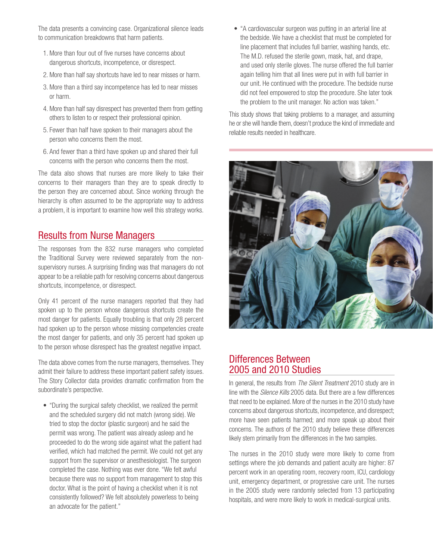The data presents a convincing case. Organizational silence leads to communication breakdowns that harm patients.

- 1. More than four out of five nurses have concerns about dangerous shortcuts, incompetence, or disrespect.
- 2. More than half say shortcuts have led to near misses or harm.
- 3. More than a third say incompetence has led to near misses or harm.
- 4. More than half say disrespect has prevented them from getting others to listen to or respect their professional opinion.
- 5. Fewer than half have spoken to their managers about the person who concerns them the most.
- 6. And fewer than a third have spoken up and shared their full concerns with the person who concerns them the most.

The data also shows that nurses are more likely to take their concerns to their managers than they are to speak directly to the person they are concerned about. Since working through the hierarchy is often assumed to be the appropriate way to address a problem, it is important to examine how well this strategy works.

### Results from Nurse Managers

The responses from the 832 nurse managers who completed the Traditional Survey were reviewed separately from the nonsupervisory nurses. A surprising finding was that managers do not appear to be a reliable path for resolving concerns about dangerous shortcuts, incompetence, or disrespect.

Only 41 percent of the nurse managers reported that they had spoken up to the person whose dangerous shortcuts create the most danger for patients. Equally troubling is that only 28 percent had spoken up to the person whose missing competencies create the most danger for patients, and only 35 percent had spoken up to the person whose disrespect has the greatest negative impact.

The data above comes from the nurse managers, themselves. They admit their failure to address these important patient safety issues. The Story Collector data provides dramatic confirmation from the subordinate's perspective.

• "During the surgical safety checklist, we realized the permit and the scheduled surgery did not match (wrong side). We tried to stop the doctor (plastic surgeon) and he said the permit was wrong. The patient was already asleep and he proceeded to do the wrong side against what the patient had verified, which had matched the permit. We could not get any support from the supervisor or anesthesiologist. The surgeon completed the case. Nothing was ever done. "We felt awful because there was no support from management to stop this doctor. What is the point of having a checklist when it is not consistently followed? We felt absolutely powerless to being an advocate for the patient."

• "A cardiovascular surgeon was putting in an arterial line at the bedside. We have a checklist that must be completed for line placement that includes full barrier, washing hands, etc. The M.D. refused the sterile gown, mask, hat, and drape, and used only sterile gloves. The nurse offered the full barrier again telling him that all lines were put in with full barrier in our unit. He continued with the procedure. The bedside nurse did not feel empowered to stop the procedure. She later took the problem to the unit manager. No action was taken."

This study shows that taking problems to a manager, and assuming he or she will handle them, doesn't produce the kind of immediate and reliable results needed in healthcare.



### Differences Between 2005 and 2010 Studies

In general, the results from *The Silent Treatment* 2010 study are in line with the *Silence Kills* 2005 data. But there are a few differences that need to be explained. More of the nurses in the 2010 study have concerns about dangerous shortcuts, incompetence, and disrespect; more have seen patients harmed; and more speak up about their concerns. The authors of the 2010 study believe these differences likely stem primarily from the differences in the two samples.

The nurses in the 2010 study were more likely to come from settings where the job demands and patient acuity are higher: 87 percent work in an operating room, recovery room, ICU, cardiology unit, emergency department, or progressive care unit. The nurses in the 2005 study were randomly selected from 13 participating hospitals, and were more likely to work in medical-surgical units.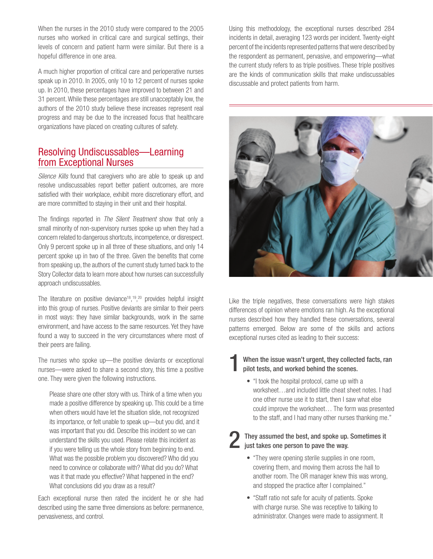When the nurses in the 2010 study were compared to the 2005 nurses who worked in critical care and surgical settings, their levels of concern and patient harm were similar. But there is a hopeful difference in one area.

A much higher proportion of critical care and perioperative nurses speak up in 2010. In 2005, only 10 to 12 percent of nurses spoke up. In 2010, these percentages have improved to between 21 and 31 percent. While these percentages are still unacceptably low, the authors of the 2010 study believe these increases represent real progress and may be due to the increased focus that healthcare organizations have placed on creating cultures of safety.

### Resolving Undiscussables—Learning from Exceptional Nurses

*Silence Kills* found that caregivers who are able to speak up and resolve undiscussables report better patient outcomes, are more satisfied with their workplace, exhibit more discretionary effort, and are more committed to staying in their unit and their hospital.

The findings reported in *The Silent Treatment* show that only a small minority of non-supervisory nurses spoke up when they had a concern related to dangerous shortcuts, incompetence, or disrespect. Only 9 percent spoke up in all three of these situations, and only 14 percent spoke up in two of the three. Given the benefits that come from speaking up, the authors of the current study turned back to the Story Collector data to learn more about how nurses can successfully approach undiscussables.

The literature on positive deviance<sup>18</sup>,<sup>19</sup>,<sup>20</sup> provides helpful insight into this group of nurses. Positive deviants are similar to their peers in most ways: they have similar backgrounds, work in the same environment, and have access to the same resources. Yet they have found a way to succeed in the very circumstances where most of their peers are failing.

The nurses who spoke up—the positive deviants or exceptional nurses—were asked to share a second story, this time a positive one. They were given the following instructions.

Please share one other story with us. Think of a time when you made a positive difference by speaking up. This could be a time when others would have let the situation slide, not recognized its importance, or felt unable to speak up—but you did, and it was important that you did. Describe this incident so we can understand the skills you used. Please relate this incident as if you were telling us the whole story from beginning to end. What was the possible problem you discovered? Who did you need to convince or collaborate with? What did you do? What was it that made you effective? What happened in the end? What conclusions did you draw as a result?

Each exceptional nurse then rated the incident he or she had described using the same three dimensions as before: permanence, pervasiveness, and control.

Using this methodology, the exceptional nurses described 284 incidents in detail, averaging 123 words per incident. Twenty-eight percent of the incidents represented patterns that were described by the respondent as permanent, pervasive, and empowering—what the current study refers to as triple positives. These triple positives are the kinds of communication skills that make undiscussables discussable and protect patients from harm.



Like the triple negatives, these conversations were high stakes differences of opinion where emotions ran high. As the exceptional nurses described how they handled these conversations, several patterns emerged. Below are some of the skills and actions exceptional nurses cited as leading to their success:

### When the issue wasn't urgent, they collected facts, ran pilot tests, and worked behind the scenes.

• "I took the hospital protocol, came up with a worksheet…and included little cheat sheet notes. I had one other nurse use it to start, then I saw what else could improve the worksheet… The form was presented to the staff, and I had many other nurses thanking me."

### They assumed the best, and spoke up. Sometimes it  $\blacksquare$  just takes one person to pave the way.

- "They were opening sterile supplies in one room, covering them, and moving them across the hall to another room. The OR manager knew this was wrong, and stopped the practice after I complained."
- "Staff ratio not safe for acuity of patients. Spoke with charge nurse. She was receptive to talking to administrator. Changes were made to assignment. It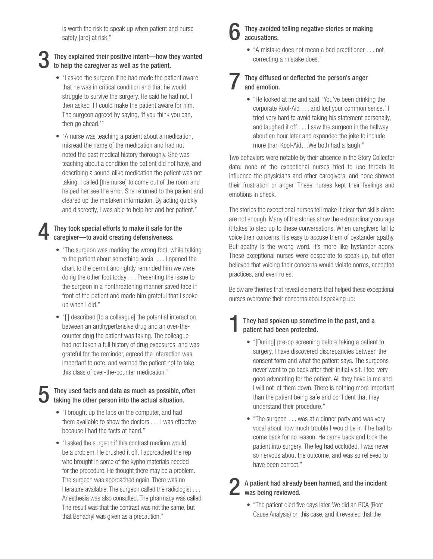is worth the risk to speak up when patient and nurse safety [are] at risk."

### They explained their positive intent—how they wanted to help the caregiver as well as the patient.

- "I asked the surgeon if he had made the patient aware that he was in critical condition and that he would struggle to survive the surgery. He said he had not. I then asked if I could make the patient aware for him. The surgeon agreed by saying, 'If you think you can, then go ahead.'"
- "A nurse was teaching a patient about a medication, misread the name of the medication and had not noted the past medical history thoroughly. She was teaching about a condition the patient did not have, and describing a sound-alike medication the patient was not taking. I called [the nurse] to come out of the room and helped her see the error. She returned to the patient and cleared up the mistaken information. By acting quickly and discreetly, I was able to help her and her patient."

# They took special efforts to make it safe for the caregiver—to avoid creating defensiveness.

- "The surgeon was marking the wrong foot, while talking to the patient about something social . . . I opened the chart to the permit and lightly reminded him we were doing the other foot today . . . Presenting the issue to the surgeon in a nonthreatening manner saved face in front of the patient and made him grateful that I spoke up when I did."
- "[I] described [to a colleague] the potential interaction between an antihypertensive drug and an over-thecounter drug the patient was taking. The colleague had not taken a full history of drug exposures, and was grateful for the reminder, agreed the interaction was important to note, and warned the patient not to take this class of over-the-counter medication."

### They used facts and data as much as possible, often taking the other person into the actual situation.

- "I brought up the labs on the computer, and had them available to show the doctors . . . I was effective because I had the facts at hand."
- "I asked the surgeon if this contrast medium would be a problem. He brushed it off. I approached the rep who brought in some of the kypho materials needed for the procedure. He thought there may be a problem. The surgeon was approached again. There was no literature available. The surgeon called the radiologist . . . Anesthesia was also consulted. The pharmacy was called. The result was that the contrast was not the same, but that Benadryl was given as a precaution."

### They avoided telling negative stories or making accusations.

• "A mistake does not mean a bad practitioner . . . not correcting a mistake does."

### 7 They diffused or deflected the person's anger and emotion.

• "He looked at me and said, 'You've been drinking the corporate Kool-Aid . . . and lost your common sense.' I tried very hard to avoid taking his statement personally, and laughed it off . . . I saw the surgeon in the hallway about an hour later and expanded the joke to include more than Kool-Aid…We both had a laugh."

Two behaviors were notable by their absence in the Story Collector data: none of the exceptional nurses tried to use threats to influence the physicians and other caregivers, and none showed their frustration or anger. These nurses kept their feelings and emotions in check.

The stories the exceptional nurses tell make it clear that skills alone are not enough. Many of the stories show the extraordinary courage it takes to step up to these conversations. When caregivers fail to voice their concerns, it's easy to accuse them of bystander apathy. But apathy is the wrong word. It's more like bystander agony. These exceptional nurses were desperate to speak up, but often believed that voicing their concerns would violate norms, accepted practices, and even rules.

Below are themes that reveal elements that helped these exceptional nurses overcome their concerns about speaking up:

### 1They had spoken up sometime in the past, and a patient had been protected.

- "[During] pre-op screening before taking a patient to surgery, I have discovered discrepancies between the consent form and what the patient says. The surgeons never want to go back after their initial visit. I feel very good advocating for the patient. All they have is me and I will not let them down. There is nothing more important than the patient being safe and confident that they understand their procedure."
- "The surgeon . . . was at a dinner party and was very vocal about how much trouble I would be in if he had to come back for no reason. He came back and took the patient into surgery. The leg had occluded. I was never so nervous about the outcome, and was so relieved to have been correct."

2 A patient had already been harmed, and the incident was being reviewed.

• "The patient died five days later. We did an RCA (Root Cause Analysis) on this case, and it revealed that the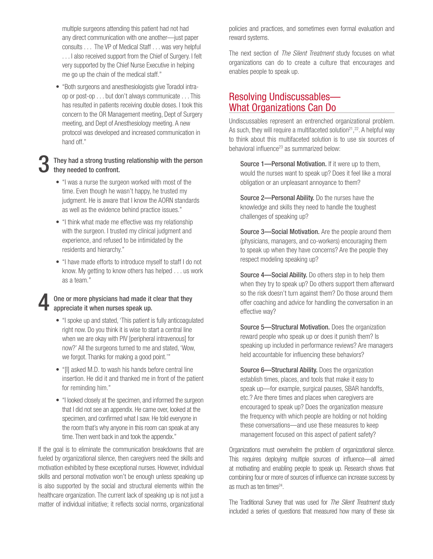multiple surgeons attending this patient had not had any direct communication with one another—just paper consults . . . The VP of Medical Staff . . . was very helpful . . . I also received support from the Chief of Surgery. I felt very supported by the Chief Nurse Executive in helping me go up the chain of the medical staff."

• "Both surgeons and anesthesiologists give Toradol intraop or post-op . . . but don't always communicate . . . This has resulted in patients receiving double doses. I took this concern to the OR Management meeting, Dept of Surgery meeting, and Dept of Anesthesiology meeting. A new protocol was developed and increased communication in hand off."

### They had a strong trusting relationship with the person they needed to confront.

- "I was a nurse the surgeon worked with most of the time. Even though he wasn't happy, he trusted my judgment. He is aware that I know the AORN standards as well as the evidence behind practice issues."
- "I think what made me effective was my relationship with the surgeon. I trusted my clinical judgment and experience, and refused to be intimidated by the residents and hierarchy."
- "I have made efforts to introduce myself to staff I do not know. My getting to know others has helped . . . us work as a team."

### One or more physicians had made it clear that they appreciate it when nurses speak up.

- "I spoke up and stated, 'This patient is fully anticoagulated right now. Do you think it is wise to start a central line when we are okay with PIV [peripheral intravenous] for now?' All the surgeons turned to me and stated, 'Wow, we forgot. Thanks for making a good point.'"
- "[I] asked M.D. to wash his hands before central line insertion. He did it and thanked me in front of the patient for reminding him."
- "I looked closely at the specimen, and informed the surgeon that I did not see an appendix. He came over, looked at the specimen, and confirmed what I saw. He told everyone in the room that's why anyone in this room can speak at any time. Then went back in and took the appendix."

If the goal is to eliminate the communication breakdowns that are fueled by organizational silence, then caregivers need the skills and motivation exhibited by these exceptional nurses. However, individual skills and personal motivation won't be enough unless speaking up is also supported by the social and structural elements within the healthcare organization. The current lack of speaking up is not just a matter of individual initiative; it reflects social norms, organizational policies and practices, and sometimes even formal evaluation and reward systems.

The next section of *The Silent Treatment* study focuses on what organizations can do to create a culture that encourages and enables people to speak up.

### Resolving Undiscussables— What Organizations Can Do

Undiscussables represent an entrenched organizational problem. As such, they will require a multifaceted solution<sup>21</sup>,<sup>22</sup>. A helpful way to think about this multifaceted solution is to use six sources of behavioral influence<sup>23</sup> as summarized below:

Source 1—Personal Motivation. If it were up to them, would the nurses want to speak up? Does it feel like a moral obligation or an unpleasant annoyance to them?

Source 2—Personal Ability. Do the nurses have the knowledge and skills they need to handle the toughest challenges of speaking up?

Source 3-Social Motivation. Are the people around them (physicians, managers, and co-workers) encouraging them to speak up when they have concerns? Are the people they respect modeling speaking up?

Source 4—Social Ability. Do others step in to help them when they try to speak up? Do others support them afterward so the risk doesn't turn against them? Do those around them offer coaching and advice for handling the conversation in an effective way?

Source 5—Structural Motivation. Does the organization reward people who speak up or does it punish them? Is speaking up included in performance reviews? Are managers held accountable for influencing these behaviors?

Source 6—Structural Ability. Does the organization establish times, places, and tools that make it easy to speak up—for example, surgical pauses, SBAR handoffs, etc.? Are there times and places when caregivers are encouraged to speak up? Does the organization measure the frequency with which people are holding or not holding these conversations—and use these measures to keep management focused on this aspect of patient safety?

Organizations must overwhelm the problem of organizational silence. This requires deploying multiple sources of influence—all aimed at motivating and enabling people to speak up. Research shows that combining four or more of sources of influence can increase success by as much as ten times<sup>24</sup>.

The Traditional Survey that was used for *The Silent Treatment* study included a series of questions that measured how many of these six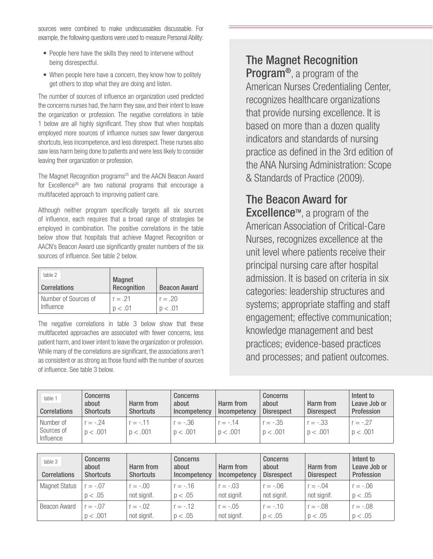sources were combined to make undiscussables discussable. For example, the following questions were used to measure Personal Ability:

- People here have the skills they need to intervene without being disrespectful.
- When people here have a concern, they know how to politely get others to stop what they are doing and listen.

The number of sources of influence an organization used predicted the concerns nurses had, the harm they saw, and their intent to leave the organization or profession. The negative correlations in table 1 below are all highly significant. They show that when hospitals employed more sources of influence nurses saw fewer dangerous shortcuts, less incompetence, and less disrespect. These nurses also saw less harm being done to patients and were less likely to consider leaving their organization or profession.

The Magnet Recognition programs<sup>25</sup> and the AACN Beacon Award for Excellence<sup>26</sup> are two national programs that encourage a multifaceted approach to improving patient care.

Although neither program specifically targets all six sources of influence, each requires that a broad range of strategies be employed in combination. The positive correlations in the table below show that hospitals that achieve Magnet Recognition or AACN's Beacon Award use significantly greater numbers of the six sources of influence. See table 2 below.

| table 2<br><b>Correlations</b> | <b>Magnet</b><br><b>Recognition</b> | <b>Beacon Award</b> |  |
|--------------------------------|-------------------------------------|---------------------|--|
| Number of Sources of           | $r = .21$                           | $r = .20$           |  |
| Influence                      | p < .01                             | p < .01             |  |

The negative correlations in table 3 below show that these multifaceted approaches are associated with fewer concerns, less patient harm, and lower intent to leave the organization or profession. While many of the correlations are significant, the associations aren't as consistent or as strong as those found with the number of sources of influence. See table 3 below.

## The Magnet Recognition

Program®, a program of the American Nurses Credentialing Center, recognizes healthcare organizations that provide nursing excellence. It is based on more than a dozen quality indicators and standards of nursing practice as defined in the 3rd edition of the ANA Nursing Administration: Scope & Standards of Practice (2009).

## The Beacon Award for

**Excellence**™, a program of the American Association of Critical-Care Nurses, recognizes excellence at the unit level where patients receive their principal nursing care after hospital admission. It is based on criteria in six categories: leadership structures and systems; appropriate staffing and staff engagement; effective communication; knowledge management and best practices; evidence-based practices and processes; and patient outcomes.

| table 1<br>Correlations              | <b>Concerns</b><br>about<br><b>Shortcuts</b> | Harm from<br><b>Shortcuts</b> | <b>Concerns</b><br>about<br>Incompetency | Harm from<br>Incompetency | <b>Concerns</b><br>about<br><b>Disrespect</b> | Harm from<br><b>Disrespect</b> | Intent to<br>Leave Job or<br>Profession |
|--------------------------------------|----------------------------------------------|-------------------------------|------------------------------------------|---------------------------|-----------------------------------------------|--------------------------------|-----------------------------------------|
| Number of<br>Sources of<br>Influence | $r = -0.24$<br>p < .001                      | $r = -0.11$<br>p < .001       | $r = -.36$<br>p < .001                   | $r = -0.14$<br>p < .001   | $r = -.35$<br>p < .001                        | $r = -.33$<br>p < .001         | $r = -0.27$<br>p < .001                 |

| table 3<br><b>Correlations</b> | <b>Concerns</b><br>about<br><b>Shortcuts</b> | Harm from<br><b>Shortcuts</b> | Concerns<br>about<br>Incompetency | Harm from<br>Incompetency | <b>Concerns</b><br>about<br><b>Disrespect</b> | Harm from<br><b>Disrespect</b> | Intent to<br>Leave Job or<br>Profession |
|--------------------------------|----------------------------------------------|-------------------------------|-----------------------------------|---------------------------|-----------------------------------------------|--------------------------------|-----------------------------------------|
| <b>Magnet Status</b>           | $r = -.07$                                   | $r = -.00$                    | $r = -0.16$                       | $r = -03$                 | $r = -.06$                                    | $r = -.04$                     | $r = -06$                               |
|                                | p < .05                                      | not signif.                   | p < .05                           | not signif.               | not signif.                                   | not signif.                    | p < .05                                 |
| Beacon Award                   | $r = -07$                                    | $r = -.02$                    | $r = -12$                         | $r = -.05$                | $r = -.10$                                    | $r = -.08$                     | $r = -.08$                              |
|                                | p < .001                                     | not signif.                   | p < .05                           | not signif.               | p < .05                                       | p < .05                        | p < .05                                 |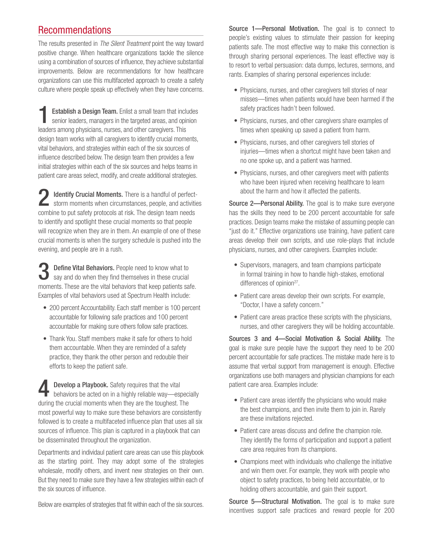### Recommendations

The results presented in *The Silent Treatment* point the way toward positive change. When healthcare organizations tackle the silence using a combination of sources of influence, they achieve substantial improvements. Below are recommendations for how healthcare organizations can use this multifaceted approach to create a safety culture where people speak up effectively when they have concerns.

**Establish a Design Team.** Enlist a small team that includes senior leaders, managers in the targeted areas, and opinion leaders among physicians, nurses, and other caregivers. This design team works with all caregivers to identify crucial moments, vital behaviors, and strategies within each of the six sources of influence described below. The design team then provides a few initial strategies within each of the six sources and helps teams in patient care areas select, modify, and create additional strategies.

2 Identify Crucial Moments. There is a handful of perfect-storm moments when circumstances, people, and activities combine to put safety protocols at risk. The design team needs to identify and spotlight these crucial moments so that people will recognize when they are in them. An example of one of these crucial moments is when the surgery schedule is pushed into the evening, and people are in a rush.

Define Vital Behaviors. People need to know what to say and do when they find themselves in these crucial moments. These are the vital behaviors that keep patients safe. Examples of vital behaviors used at Spectrum Health include:

- 200 percent Accountability. Each staff member is 100 percent accountable for following safe practices and 100 percent accountable for making sure others follow safe practices.
- Thank You. Staff members make it safe for others to hold them accountable. When they are reminded of a safety practice, they thank the other person and redouble their efforts to keep the patient safe.

**4** Develop a Playbook. Safety requires that the vital behaviors be acted on in a highly reliable way—especially during the crucial moments when they are the toughest. The most powerful way to make sure these behaviors are consistently followed is to create a multifaceted influence plan that uses all six sources of influence. This plan is captured in a playbook that can be disseminated throughout the organization.

Departments and individaul patient care areas can use this playbook as the starting point. They may adopt some of the strategies wholesale, modify others, and invent new strategies on their own. But they need to make sure they have a few strategies within each of the six sources of influence.

Below are examples of strategies that fit within each of the six sources.

Source 1-Personal Motivation. The goal is to connect to people's existing values to stimulate their passion for keeping patients safe. The most effective way to make this connection is through sharing personal experiences. The least effective way is to resort to verbal persuasion: data dumps, lectures, sermons, and rants. Examples of sharing personal experiences include:

- Physicians, nurses, and other caregivers tell stories of near misses—times when patients would have been harmed if the safety practices hadn't been followed.
- Physicians, nurses, and other caregivers share examples of times when speaking up saved a patient from harm.
- Physicians, nurses, and other caregivers tell stories of injuries—times when a shortcut might have been taken and no one spoke up, and a patient was harmed.
- Physicians, nurses, and other caregivers meet with patients who have been injured when receiving healthcare to learn about the harm and how it affected the patients.

Source 2-Personal Ability. The goal is to make sure everyone has the skills they need to be 200 percent accountable for safe practices. Design teams make the mistake of assuming people can "just do it." Effective organizations use training, have patient care areas develop their own scripts, and use role-plays that include physicians, nurses, and other caregivers. Examples include:

- Supervisors, managers, and team champions participate in formal training in how to handle high-stakes, emotional differences of opinion<sup>27</sup>.
- Patient care areas develop their own scripts. For example, "Doctor, I have a safety concern."
- Patient care areas practice these scripts with the physicians, nurses, and other caregivers they will be holding accountable.

Sources 3 and 4—Social Motivation & Social Ability. The goal is make sure people have the support they need to be 200 percent accountable for safe practices. The mistake made here is to assume that verbal support from management is enough. Effective organizations use both managers and physician champions for each patient care area. Examples include:

- Patient care areas identify the physicians who would make the best champions, and then invite them to join in. Rarely are these invitations rejected.
- Patient care areas discuss and define the champion role. They identify the forms of participation and support a patient care area requires from its champions.
- Champions meet with individuals who challenge the initiative and win them over. For example, they work with people who object to safety practices, to being held accountable, or to holding others accountable, and gain their support.

Source 5-Structural Motivation. The goal is to make sure incentives support safe practices and reward people for 200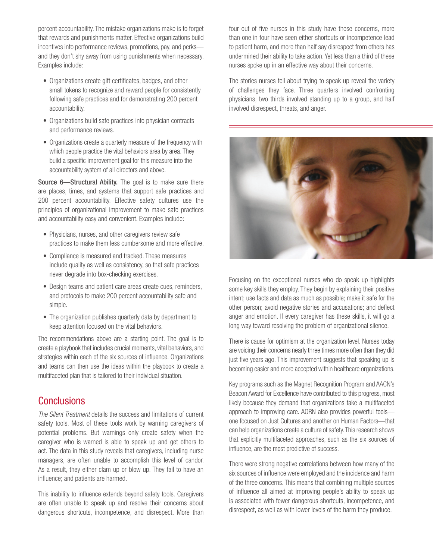percent accountability. The mistake organizations make is to forget that rewards and punishments matter. Effective organizations build incentives into performance reviews, promotions, pay, and perks and they don't shy away from using punishments when necessary. Examples include:

- Organizations create gift certificates, badges, and other small tokens to recognize and reward people for consistently following safe practices and for demonstrating 200 percent accountability.
- Organizations build safe practices into physician contracts and performance reviews.
- Organizations create a quarterly measure of the frequency with which people practice the vital behaviors area by area. They build a specific improvement goal for this measure into the accountability system of all directors and above.

Source 6-Structural Ability. The goal is to make sure there are places, times, and systems that support safe practices and 200 percent accountability. Effective safety cultures use the principles of organizational improvement to make safe practices and accountability easy and convenient. Examples include:

- Physicians, nurses, and other caregivers review safe practices to make them less cumbersome and more effective.
- Compliance is measured and tracked. These measures include quality as well as consistency, so that safe practices never degrade into box-checking exercises.
- Design teams and patient care areas create cues, reminders, and protocols to make 200 percent accountability safe and simple.
- The organization publishes quarterly data by department to keep attention focused on the vital behaviors.

The recommendations above are a starting point. The goal is to create a playbook that includes crucial moments, vital behaviors, and strategies within each of the six sources of influence. Organizations and teams can then use the ideas within the playbook to create a multifaceted plan that is tailored to their individual situation.

### **Conclusions**

*The Silent Treatment* details the success and limitations of current safety tools. Most of these tools work by warning caregivers of potential problems. But warnings only create safety when the caregiver who is warned is able to speak up and get others to act. The data in this study reveals that caregivers, including nurse managers, are often unable to accomplish this level of candor. As a result, they either clam up or blow up. They fail to have an influence; and patients are harmed.

This inability to influence extends beyond safety tools. Caregivers are often unable to speak up and resolve their concerns about dangerous shortcuts, incompetence, and disrespect. More than four out of five nurses in this study have these concerns, more than one in four have seen either shortcuts or incompetence lead to patient harm, and more than half say disrespect from others has undermined their ability to take action. Yet less than a third of these nurses spoke up in an effective way about their concerns.

The stories nurses tell about trying to speak up reveal the variety of challenges they face. Three quarters involved confronting physicians, two thirds involved standing up to a group, and half involved disrespect, threats, and anger.



Focusing on the exceptional nurses who do speak up highlights some key skills they employ. They begin by explaining their positive intent; use facts and data as much as possible; make it safe for the other person; avoid negative stories and accusations; and deflect anger and emotion. If every caregiver has these skills, it will go a long way toward resolving the problem of organizational silence.

There is cause for optimism at the organization level. Nurses today are voicing their concerns nearly three times more often than they did just five years ago. This improvement suggests that speaking up is becoming easier and more accepted within healthcare organizations.

Key programs such as the Magnet Recognition Program and AACN's Beacon Award for Excellence have contributed to this progress, most likely because they demand that organizations take a multifaceted approach to improving care. AORN also provides powerful tools one focused on Just Cultures and another on Human Factors—that can help organizations create a culture of safety. This research shows that explicitly multifaceted approaches, such as the six sources of influence, are the most predictive of success.

There were strong negative correlations between how many of the six sources of influence were employed and the incidence and harm of the three concerns. This means that combining multiple sources of influence all aimed at improving people's ability to speak up is associated with fewer dangerous shortcuts, incompetence, and disrespect, as well as with lower levels of the harm they produce.